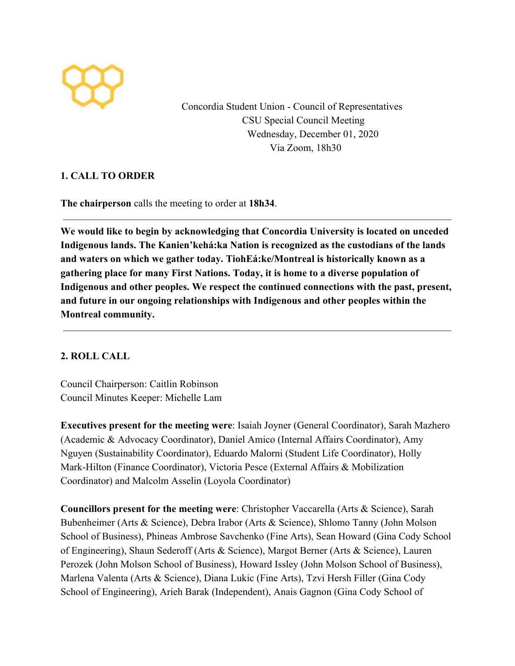

Concordia Student Union - Council of Representatives CSU Special Council Meeting Wednesday, December 01, 2020 Via Zoom, 18h30

# **1. CALL TO ORDER**

**The chairperson** calls the meeting to order at **18h34**.

**We would like to begin by acknowledging that Concordia University is located on unceded Indigenous lands. The Kanien'kehá:ka Nation is recognized as the custodians of the lands and waters on which we gather today. TiohEá:ke/Montreal is historically known as a gathering place for many First Nations. Today, it is home to a diverse population of Indigenous and other peoples. We respect the continued connections with the past, present, and future in our ongoing relationships with Indigenous and other peoples within the Montreal community.**

# **2. ROLL CALL**

Council Chairperson: Caitlin Robinson Council Minutes Keeper: Michelle Lam

**Executives present for the meeting were**: Isaiah Joyner (General Coordinator), Sarah Mazhero (Academic & Advocacy Coordinator), Daniel Amico (Internal Affairs Coordinator), Amy Nguyen (Sustainability Coordinator), Eduardo Malorni (Student Life Coordinator), Holly Mark-Hilton (Finance Coordinator), Victoria Pesce (External Affairs & Mobilization Coordinator) and Malcolm Asselin (Loyola Coordinator)

**Councillors present for the meeting were**: Christopher Vaccarella (Arts & Science), Sarah Bubenheimer (Arts & Science), Debra Irabor (Arts & Science), Shlomo Tanny (John Molson School of Business), Phineas Ambrose Savchenko (Fine Arts), Sean Howard (Gina Cody School of Engineering), Shaun Sederoff (Arts & Science), Margot Berner (Arts & Science), Lauren Perozek (John Molson School of Business), Howard Issley (John Molson School of Business), Marlena Valenta (Arts & Science), Diana Lukic (Fine Arts), Tzvi Hersh Filler (Gina Cody School of Engineering), Arieh Barak (Independent), Anais Gagnon (Gina Cody School of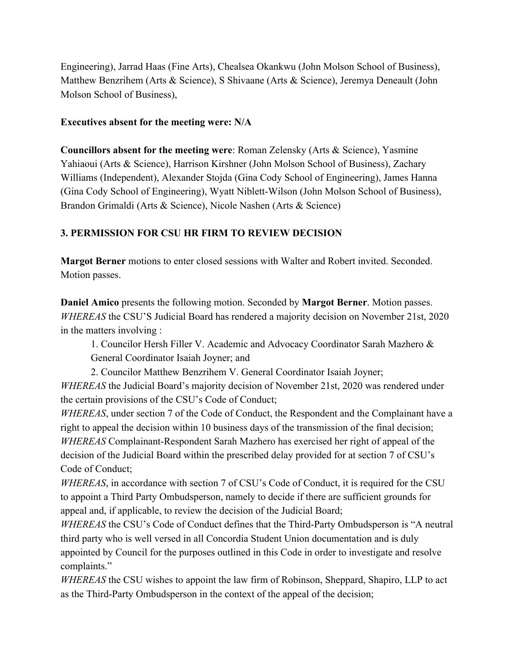Engineering), Jarrad Haas (Fine Arts), Chealsea Okankwu (John Molson School of Business), Matthew Benzrihem (Arts & Science), S Shivaane (Arts & Science), Jeremya Deneault (John Molson School of Business),

### **Executives absent for the meeting were: N/A**

**Councillors absent for the meeting were**: Roman Zelensky (Arts & Science), Yasmine Yahiaoui (Arts & Science), Harrison Kirshner (John Molson School of Business), Zachary Williams (Independent), Alexander Stojda (Gina Cody School of Engineering), James Hanna (Gina Cody School of Engineering), Wyatt Niblett-Wilson (John Molson School of Business), Brandon Grimaldi (Arts & Science), Nicole Nashen (Arts & Science)

# **3. PERMISSION FOR CSU HR FIRM TO REVIEW DECISION**

**Margot Berner** motions to enter closed sessions with Walter and Robert invited. Seconded. Motion passes.

**Daniel Amico** presents the following motion. Seconded by **Margot Berner**. Motion passes. *WHEREAS* the CSU'S Judicial Board has rendered a majority decision on November 21st, 2020 in the matters involving :

1. Councilor Hersh Filler V. Academic and Advocacy Coordinator Sarah Mazhero & General Coordinator Isaiah Joyner; and

2. Councilor Matthew Benzrihem V. General Coordinator Isaiah Joyner;

*WHEREAS* the Judicial Board's majority decision of November 21st, 2020 was rendered under the certain provisions of the CSU's Code of Conduct;

*WHEREAS*, under section 7 of the Code of Conduct, the Respondent and the Complainant have a right to appeal the decision within 10 business days of the transmission of the final decision; *WHEREAS* Complainant-Respondent Sarah Mazhero has exercised her right of appeal of the decision of the Judicial Board within the prescribed delay provided for at section 7 of CSU's Code of Conduct;

*WHEREAS*, in accordance with section 7 of CSU's Code of Conduct, it is required for the CSU to appoint a Third Party Ombudsperson, namely to decide if there are sufficient grounds for appeal and, if applicable, to review the decision of the Judicial Board;

*WHEREAS* the CSU's Code of Conduct defines that the Third-Party Ombudsperson is "A neutral third party who is well versed in all Concordia Student Union documentation and is duly appointed by Council for the purposes outlined in this Code in order to investigate and resolve complaints."

*WHEREAS* the CSU wishes to appoint the law firm of Robinson, Sheppard, Shapiro, LLP to act as the Third-Party Ombudsperson in the context of the appeal of the decision;